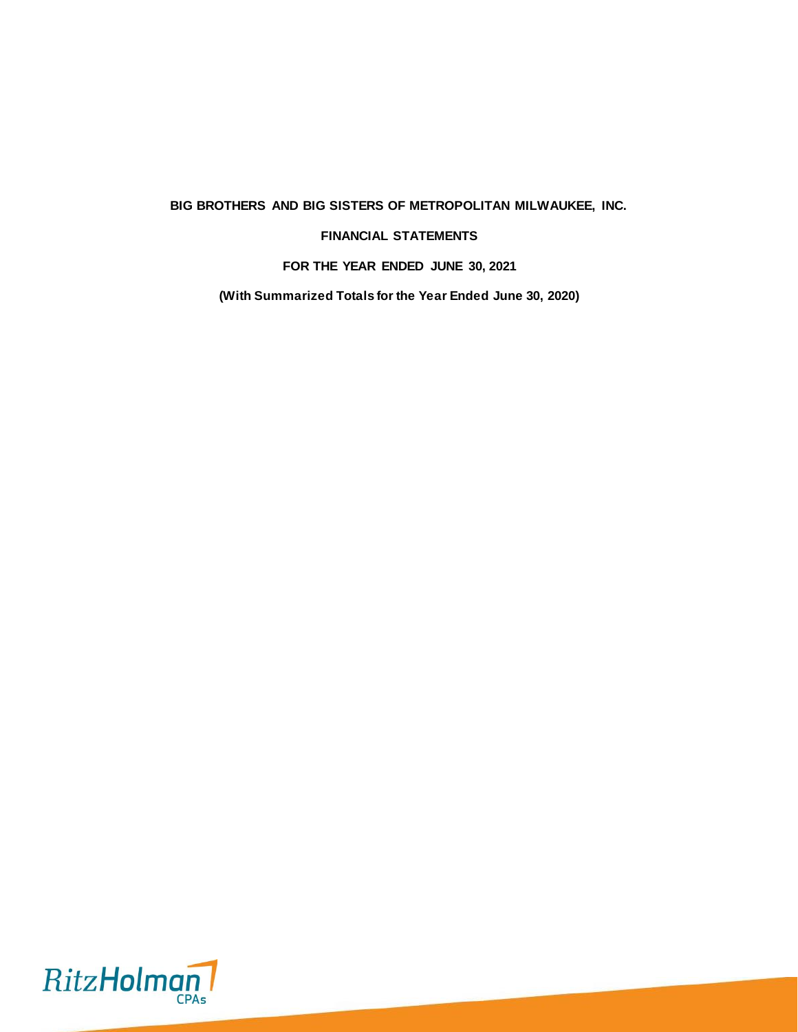**BIG BROTHERS AND BIG SISTERS OF METROPOLITAN MILWAUKEE, INC.**

# **FINANCIAL STATEMENTS**

**FOR THE YEAR ENDED JUNE 30, 2021**

**(With Summarized Totals for the Year Ended June 30, 2020)**

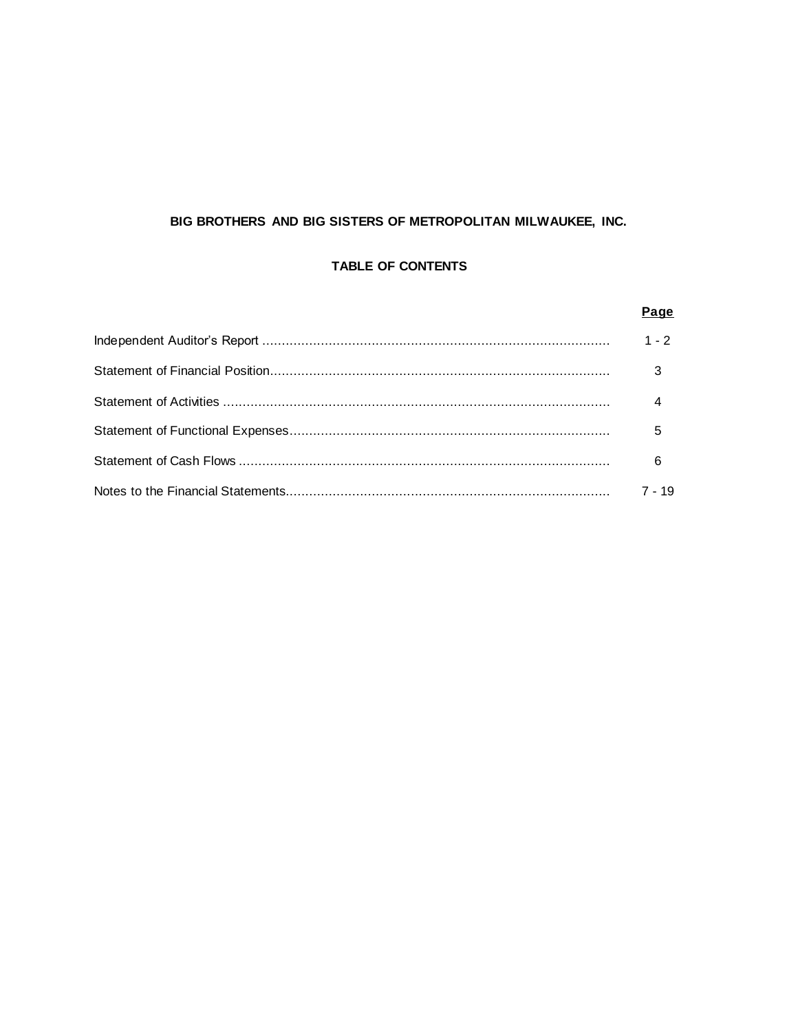# BIG BROTHERS AND BIG SISTERS OF METROPOLITAN MILWAUKEE, INC.

# **TABLE OF CONTENTS**

| Page    |
|---------|
| $1 - 2$ |
|         |
|         |
| 5       |
| 6       |
| 7 - 19  |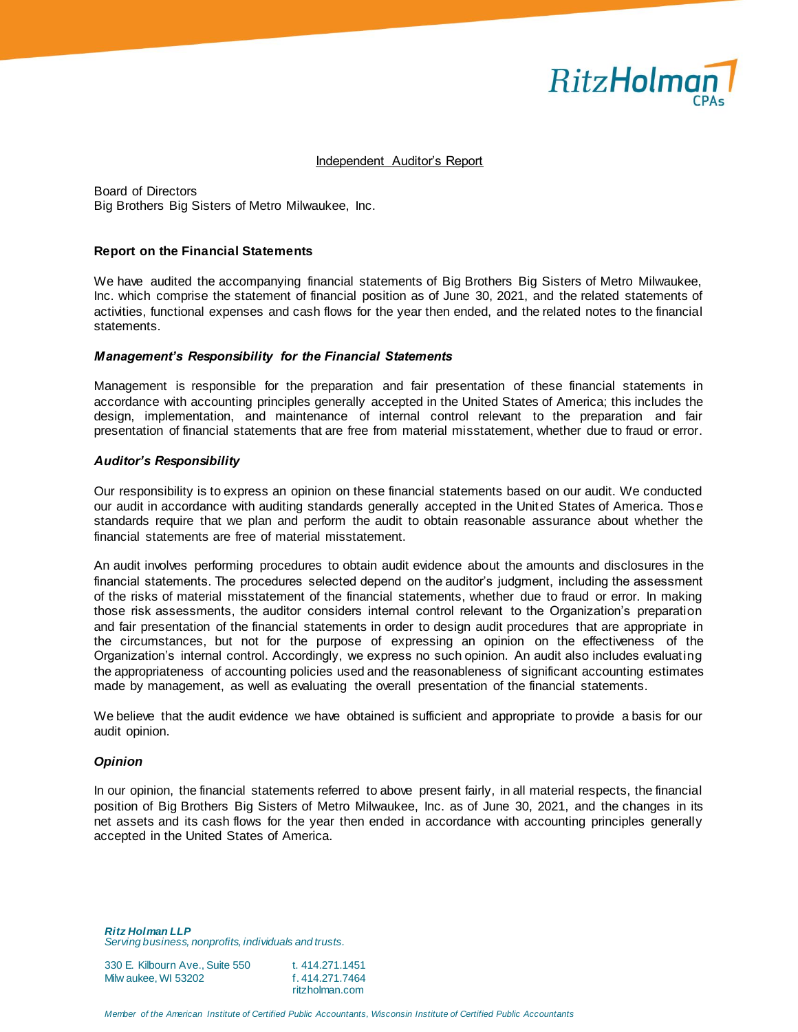

#### Independent Auditor's Report

Board of Directors Big Brothers Big Sisters of Metro Milwaukee, Inc.

#### **Report on the Financial Statements**

We have audited the accompanying financial statements of Big Brothers Big Sisters of Metro Milwaukee, Inc. which comprise the statement of financial position as of June 30, 2021, and the related statements of activities, functional expenses and cash flows for the year then ended, and the related notes to the financial statements.

#### *Management's Responsibility for the Financial Statements*

Management is responsible for the preparation and fair presentation of these financial statements in accordance with accounting principles generally accepted in the United States of America; this includes the design, implementation, and maintenance of internal control relevant to the preparation and fair presentation of financial statements that are free from material misstatement, whether due to fraud or error.

#### *Auditor's Responsibility*

Our responsibility is to express an opinion on these financial statements based on our audit. We conducted our audit in accordance with auditing standards generally accepted in the United States of America. Those standards require that we plan and perform the audit to obtain reasonable assurance about whether the financial statements are free of material misstatement.

An audit involves performing procedures to obtain audit evidence about the amounts and disclosures in the financial statements. The procedures selected depend on the auditor's judgment, including the assessment of the risks of material misstatement of the financial statements, whether due to fraud or error. In making those risk assessments, the auditor considers internal control relevant to the Organization's preparation and fair presentation of the financial statements in order to design audit procedures that are appropriate in the circumstances, but not for the purpose of expressing an opinion on the effectiveness of the Organization's internal control. Accordingly, we express no such opinion. An audit also includes evaluating the appropriateness of accounting policies used and the reasonableness of significant accounting estimates made by management, as well as evaluating the overall presentation of the financial statements.

We believe that the audit evidence we have obtained is sufficient and appropriate to provide a basis for our audit opinion.

#### *Opinion*

In our opinion, the financial statements referred to above present fairly, in all material respects, the financial position of Big Brothers Big Sisters of Metro Milwaukee, Inc. as of June 30, 2021, and the changes in its net assets and its cash flows for the year then ended in accordance with accounting principles generally accepted in the United States of America.

*Ritz Holman LLP Serving business, nonprofits, individuals and trusts.*

| 330 E. Kilbourn Ave., Suite 550 | t. 414.271.1451 |
|---------------------------------|-----------------|
| Milw aukee. WI 53202            | f. 414.271.7464 |
|                                 | ritzholman.com  |

*Member of the American Institute of Certified Public Accountants, Wisconsin Institute of Certified Public Accountants*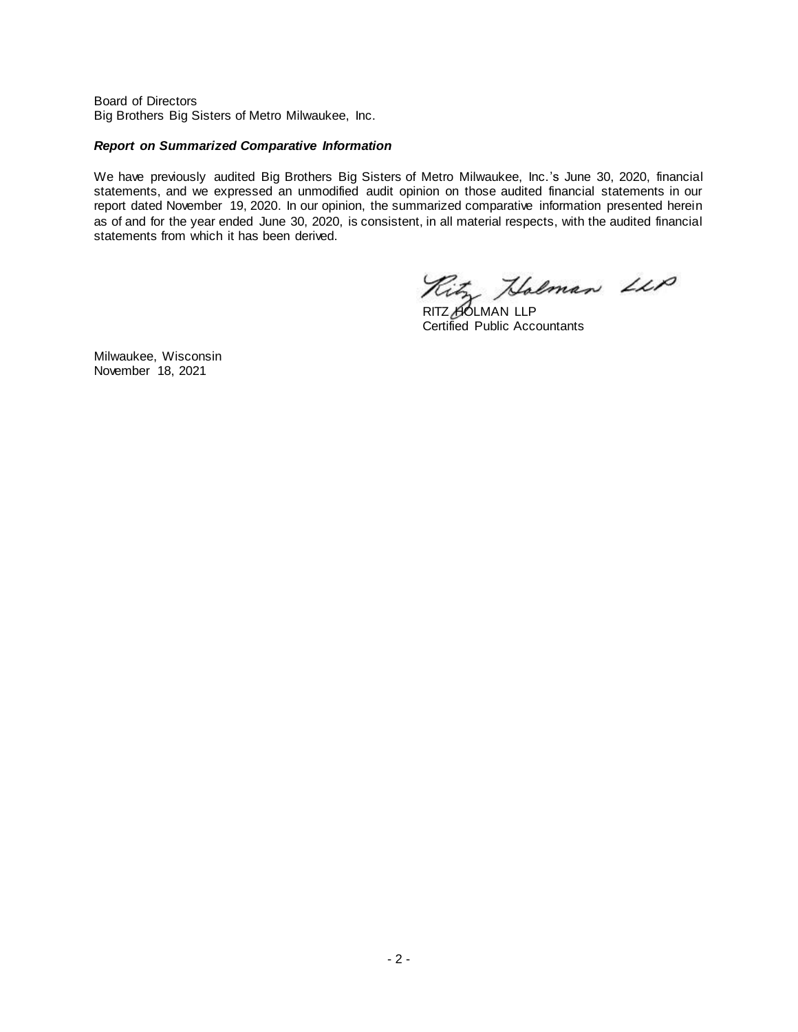Board of Directors Big Brothers Big Sisters of Metro Milwaukee, Inc.

#### *Report on Summarized Comparative Information*

We have previously audited Big Brothers Big Sisters of Metro Milwaukee, Inc.'s June 30, 2020, financial statements, and we expressed an unmodified audit opinion on those audited financial statements in our report dated November 19, 2020. In our opinion, the summarized comparative information presented herein as of and for the year ended June 30, 2020, is consistent, in all material respects, with the audited financial statements from which it has been derived.

Ritz Holman LLP

Certified Public Accountants

Milwaukee, Wisconsin November 18, 2021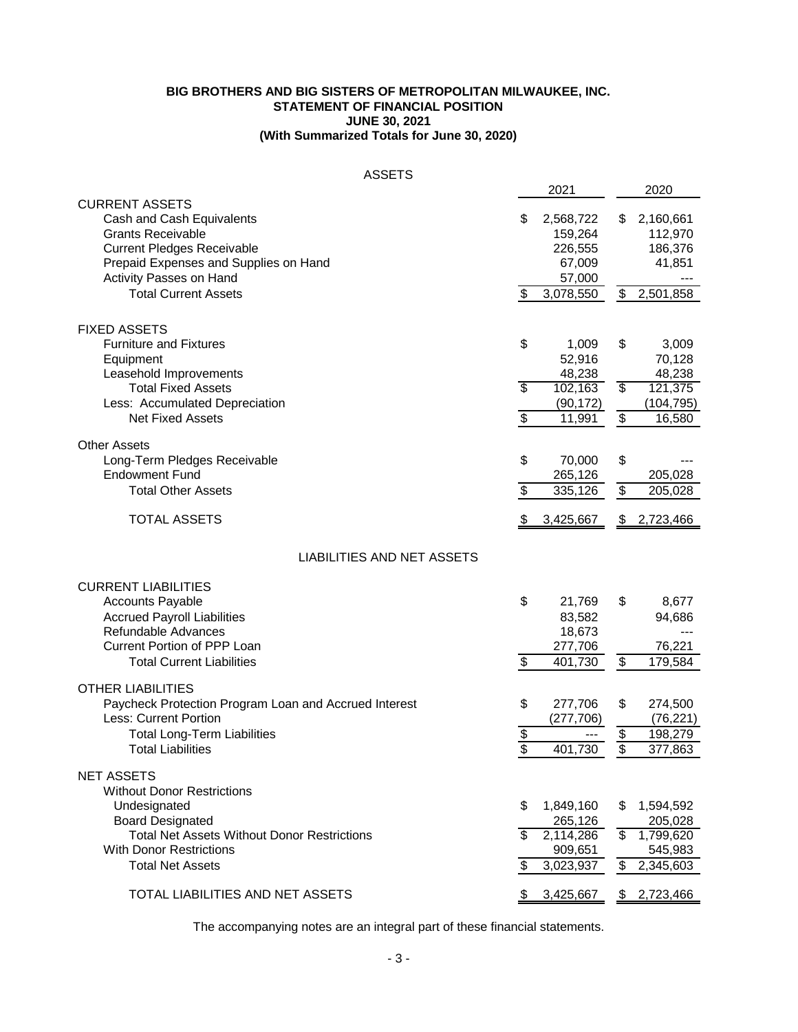# **JUNE 30, 2021 BIG BROTHERS AND BIG SISTERS OF METROPOLITAN MILWAUKEE, INC. STATEMENT OF FINANCIAL POSITION (With Summarized Totals for June 30, 2020)**

| <b>ASSETS</b>                                                                                                                                                                                                                 |                   |                                                                  |                                                 |                                                           |
|-------------------------------------------------------------------------------------------------------------------------------------------------------------------------------------------------------------------------------|-------------------|------------------------------------------------------------------|-------------------------------------------------|-----------------------------------------------------------|
|                                                                                                                                                                                                                               |                   | 2021                                                             |                                                 | 2020                                                      |
| <b>CURRENT ASSETS</b><br>Cash and Cash Equivalents<br><b>Grants Receivable</b><br><b>Current Pledges Receivable</b><br>Prepaid Expenses and Supplies on Hand<br><b>Activity Passes on Hand</b><br><b>Total Current Assets</b> | \$<br>\$          | 2,568,722<br>159,264<br>226,555<br>67,009<br>57,000<br>3,078,550 | \$<br>\$                                        | 2,160,661<br>112,970<br>186,376<br>41,851<br>2,501,858    |
|                                                                                                                                                                                                                               |                   |                                                                  |                                                 |                                                           |
| <b>FIXED ASSETS</b><br><b>Furniture and Fixtures</b><br>Equipment<br>Leasehold Improvements<br><b>Total Fixed Assets</b>                                                                                                      | \$<br>\$          | 1,009<br>52,916<br>48,238<br>102,163                             | \$<br>$\overline{\$}$                           | 3,009<br>70,128<br>48,238<br>121,375                      |
| Less: Accumulated Depreciation                                                                                                                                                                                                |                   | (90, 172)                                                        |                                                 | (104, 795)                                                |
| <b>Net Fixed Assets</b>                                                                                                                                                                                                       | \$                | 11,991                                                           | \$                                              | 16,580                                                    |
| <b>Other Assets</b><br>Long-Term Pledges Receivable<br><b>Endowment Fund</b><br><b>Total Other Assets</b>                                                                                                                     | \$<br>\$          | 70,000<br>265,126<br>335,126                                     | \$<br>$\overline{\mathbf{e}}$                   | 205,028<br>205,028                                        |
| <b>TOTAL ASSETS</b>                                                                                                                                                                                                           | \$                | 3,425,667                                                        |                                                 | \$2,723,466                                               |
| <b>LIABILITIES AND NET ASSETS</b>                                                                                                                                                                                             |                   |                                                                  |                                                 |                                                           |
| <b>CURRENT LIABILITIES</b><br><b>Accounts Payable</b><br><b>Accrued Payroll Liabilities</b><br>Refundable Advances<br><b>Current Portion of PPP Loan</b><br><b>Total Current Liabilities</b>                                  | \$<br>\$          | 21,769<br>83,582<br>18,673<br>277,706<br>401,730                 | \$<br>$\frac{1}{2}$                             | 8,677<br>94,686<br>76,221<br>179,584                      |
| <b>OTHER LIABILITIES</b><br>Paycheck Protection Program Loan and Accrued Interest<br><b>Less: Current Portion</b><br><b>Total Long-Term Liabilities</b><br><b>Total Liabilities</b>                                           | \$<br>$rac{1}{2}$ | 277,706<br>(277, 706)<br>401,730                                 | \$<br>$\frac{1}{2}$<br>$\overline{\mathcal{E}}$ | 274,500<br>(76, 221)<br>198,279<br>377,863                |
| <b>NET ASSETS</b><br><b>Without Donor Restrictions</b><br>Undesignated<br><b>Board Designated</b><br><b>Total Net Assets Without Donor Restrictions</b><br><b>With Donor Restrictions</b><br><b>Total Net Assets</b>          | \$<br>\$<br>\$    | 1,849,160<br>265,126<br>2,114,286<br>909,651<br>3,023,937        | \$<br>S,<br>$\frac{1}{2}$                       | 1,594,592<br>205,028<br>1,799,620<br>545,983<br>2,345,603 |
| TOTAL LIABILITIES AND NET ASSETS                                                                                                                                                                                              | S.                | 3,425,667                                                        |                                                 | \$2,723,466                                               |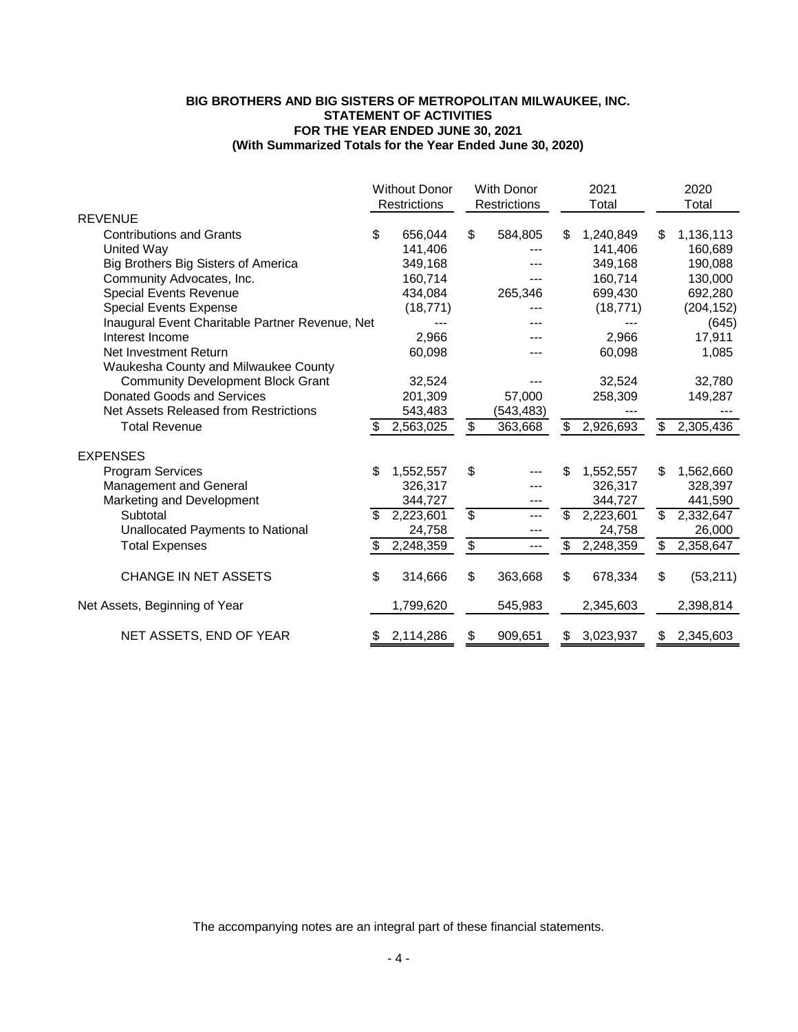# **(With Summarized Totals for the Year Ended June 30, 2020) BIG BROTHERS AND BIG SISTERS OF METROPOLITAN MILWAUKEE, INC. STATEMENT OF ACTIVITIES FOR THE YEAR ENDED JUNE 30, 2021**

|                                                 | <b>Without Donor</b><br>Restrictions |           | With Donor<br>Restrictions |            | 2021<br>Total |           |                          | 2020<br>Total |  |
|-------------------------------------------------|--------------------------------------|-----------|----------------------------|------------|---------------|-----------|--------------------------|---------------|--|
| <b>REVENUE</b>                                  |                                      |           |                            |            |               |           |                          |               |  |
| <b>Contributions and Grants</b>                 | \$                                   | 656,044   | \$                         | 584,805    | S             | 1,240,849 | \$                       | 1,136,113     |  |
| <b>United Way</b>                               |                                      | 141,406   |                            |            |               | 141,406   |                          | 160,689       |  |
| Big Brothers Big Sisters of America             |                                      | 349,168   |                            |            |               | 349,168   |                          | 190,088       |  |
| Community Advocates, Inc.                       |                                      | 160,714   |                            |            |               | 160,714   |                          | 130,000       |  |
| Special Events Revenue                          |                                      | 434,084   |                            | 265,346    |               | 699,430   |                          | 692,280       |  |
| <b>Special Events Expense</b>                   |                                      | (18, 771) |                            |            |               | (18, 771) |                          | (204, 152)    |  |
| Inaugural Event Charitable Partner Revenue, Net |                                      |           |                            |            |               |           |                          | (645)         |  |
| Interest Income                                 |                                      | 2,966     |                            |            |               | 2,966     |                          | 17,911        |  |
| Net Investment Return                           |                                      | 60,098    |                            |            |               | 60,098    |                          | 1,085         |  |
| Waukesha County and Milwaukee County            |                                      |           |                            |            |               |           |                          |               |  |
| <b>Community Development Block Grant</b>        |                                      | 32,524    |                            |            |               | 32,524    |                          | 32,780        |  |
| Donated Goods and Services                      |                                      | 201,309   |                            | 57,000     |               | 258,309   |                          | 149,287       |  |
| Net Assets Released from Restrictions           |                                      | 543,483   |                            | (543, 483) |               |           |                          |               |  |
| <b>Total Revenue</b>                            |                                      | 2,563,025 | $\mathfrak{F}$             | 363,668    | \$            | 2,926,693 | $\mathfrak{S}$           | 2,305,436     |  |
| <b>EXPENSES</b>                                 |                                      |           |                            |            |               |           |                          |               |  |
| <b>Program Services</b>                         | \$                                   | 1,552,557 | \$                         |            | \$.           | 1,552,557 | \$                       | 1,562,660     |  |
| <b>Management and General</b>                   |                                      | 326,317   |                            |            |               | 326,317   |                          | 328,397       |  |
| Marketing and Development                       |                                      | 344,727   |                            | ---        |               | 344,727   |                          | 441,590       |  |
| Subtotal                                        | \$.                                  | 2,223,601 | $\overline{\$}$            |            | \$            | 2,223,601 | $\overline{\mathcal{S}}$ | 2,332,647     |  |
| Unallocated Payments to National                |                                      | 24,758    |                            | ---        |               | 24,758    |                          | 26,000        |  |
| <b>Total Expenses</b>                           |                                      | 2,248,359 | \$                         | ---        | \$            | 2,248,359 | \$                       | 2,358,647     |  |
| <b>CHANGE IN NET ASSETS</b>                     | \$                                   | 314,666   | \$                         | 363,668    | \$            | 678,334   | \$                       | (53, 211)     |  |
| Net Assets, Beginning of Year                   |                                      | 1,799,620 |                            | 545,983    |               | 2,345,603 |                          | 2,398,814     |  |
| NET ASSETS, END OF YEAR                         | \$                                   | 2,114,286 | \$                         | 909,651    | \$            | 3,023,937 | S                        | 2,345,603     |  |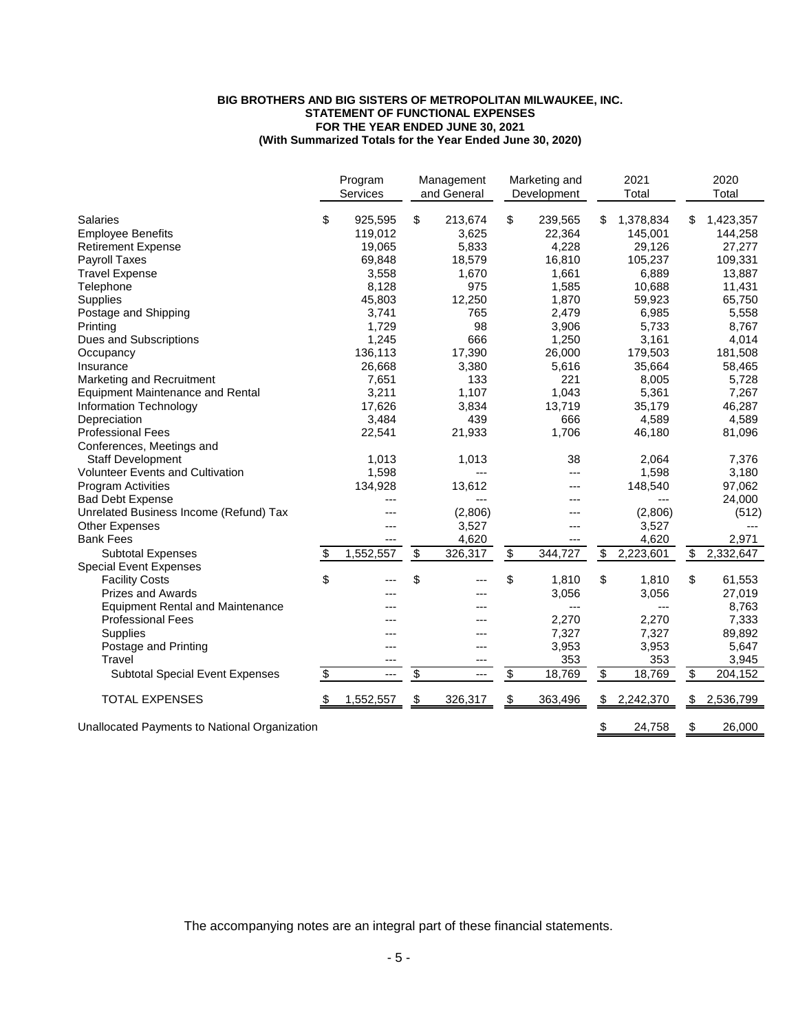## **(With Summarized Totals for the Year Ended June 30, 2020) BIG BROTHERS AND BIG SISTERS OF METROPOLITAN MILWAUKEE, INC. STATEMENT OF FUNCTIONAL EXPENSES FOR THE YEAR ENDED JUNE 30, 2021**

|                                               | Program<br>Services | Management<br>and General |                          | Marketing and<br>Development | 2021<br>Total   | 2020<br>Total   |
|-----------------------------------------------|---------------------|---------------------------|--------------------------|------------------------------|-----------------|-----------------|
| Salaries                                      | \$<br>925,595       | \$<br>213,674             | \$                       | 239,565                      | \$<br>1,378,834 | 1,423,357       |
| <b>Employee Benefits</b>                      | 119,012             | 3,625                     |                          | 22,364                       | 145,001         | 144,258         |
| <b>Retirement Expense</b>                     | 19,065              | 5,833                     |                          | 4,228                        | 29,126          | 27,277          |
| Payroll Taxes                                 | 69,848              | 18,579                    |                          | 16,810                       | 105,237         | 109,331         |
| <b>Travel Expense</b>                         | 3,558               | 1,670                     |                          | 1,661                        | 6,889           | 13,887          |
| Telephone                                     | 8,128               | 975                       |                          | 1,585                        | 10,688          | 11,431          |
| <b>Supplies</b>                               | 45,803              | 12,250                    |                          | 1,870                        | 59,923          | 65,750          |
| Postage and Shipping                          | 3,741               | 765                       |                          | 2,479                        | 6,985           | 5,558           |
| Printing                                      | 1,729               | 98                        |                          | 3,906                        | 5,733           | 8,767           |
| <b>Dues and Subscriptions</b>                 | 1,245               | 666                       |                          | 1,250                        | 3,161           | 4,014           |
| Occupancy                                     | 136,113             | 17,390                    |                          | 26,000                       | 179,503         | 181,508         |
| Insurance                                     | 26,668              | 3,380                     |                          | 5,616                        | 35,664          | 58,465          |
| Marketing and Recruitment                     | 7,651               | 133                       |                          | 221                          | 8,005           | 5,728           |
| <b>Equipment Maintenance and Rental</b>       | 3,211               | 1,107                     |                          | 1,043                        | 5,361           | 7,267           |
| Information Technology                        | 17,626              | 3,834                     |                          | 13,719                       | 35,179          | 46,287          |
| Depreciation                                  | 3,484               | 439                       |                          | 666                          | 4,589           | 4,589           |
| <b>Professional Fees</b>                      | 22,541              | 21,933                    |                          | 1,706                        | 46,180          | 81,096          |
| Conferences, Meetings and                     |                     |                           |                          |                              |                 |                 |
| <b>Staff Development</b>                      | 1,013               | 1,013                     |                          | 38                           | 2,064           | 7,376           |
| <b>Volunteer Events and Cultivation</b>       | 1,598               | ---                       |                          | ---                          | 1,598           | 3,180           |
| <b>Program Activities</b>                     | 134,928             | 13,612                    |                          | ---                          | 148,540         | 97,062          |
| <b>Bad Debt Expense</b>                       | ---                 |                           |                          | ---                          |                 | 24,000          |
| Unrelated Business Income (Refund) Tax        | ---                 | (2,806)                   |                          |                              | (2,806)         | (512)           |
| <b>Other Expenses</b>                         | ---                 | 3,527                     |                          |                              | 3,527           |                 |
| <b>Bank Fees</b>                              |                     | 4,620                     |                          |                              | 4,620           | 2,971           |
| <b>Subtotal Expenses</b>                      | \$<br>1,552,557     | \$<br>326,317             | $\overline{\mathcal{G}}$ | 344,727                      | \$<br>2,223,601 | \$<br>2,332,647 |
| <b>Special Event Expenses</b>                 |                     |                           |                          |                              |                 |                 |
| <b>Facility Costs</b>                         | \$                  | \$                        | \$                       | 1,810                        | \$<br>1,810     | \$<br>61,553    |
| <b>Prizes and Awards</b>                      | ---                 |                           |                          | 3,056                        | 3,056           | 27,019          |
| <b>Equipment Rental and Maintenance</b>       |                     |                           |                          | ---                          | $---$           | 8,763           |
| <b>Professional Fees</b>                      | ---                 |                           |                          | 2,270                        | 2,270           | 7,333           |
| <b>Supplies</b>                               | ---                 |                           |                          | 7,327                        | 7,327           | 89,892          |
| Postage and Printing                          | ---                 | ---                       |                          | 3,953                        | 3,953           | 5,647           |
| <b>Travel</b>                                 | ---                 |                           |                          | 353                          | 353             | 3,945           |
| <b>Subtotal Special Event Expenses</b>        | \$<br>---           | \$<br>---                 | \$                       | 18,769                       | \$<br>18,769    | \$<br>204,152   |
|                                               |                     |                           |                          |                              |                 |                 |
| <b>TOTAL EXPENSES</b>                         | \$<br>1,552,557     | \$<br>326,317             | \$                       | 363,496                      | \$<br>2,242,370 | \$<br>2,536,799 |
| Unallocated Payments to National Organization |                     |                           |                          |                              | \$<br>24,758    | \$<br>26,000    |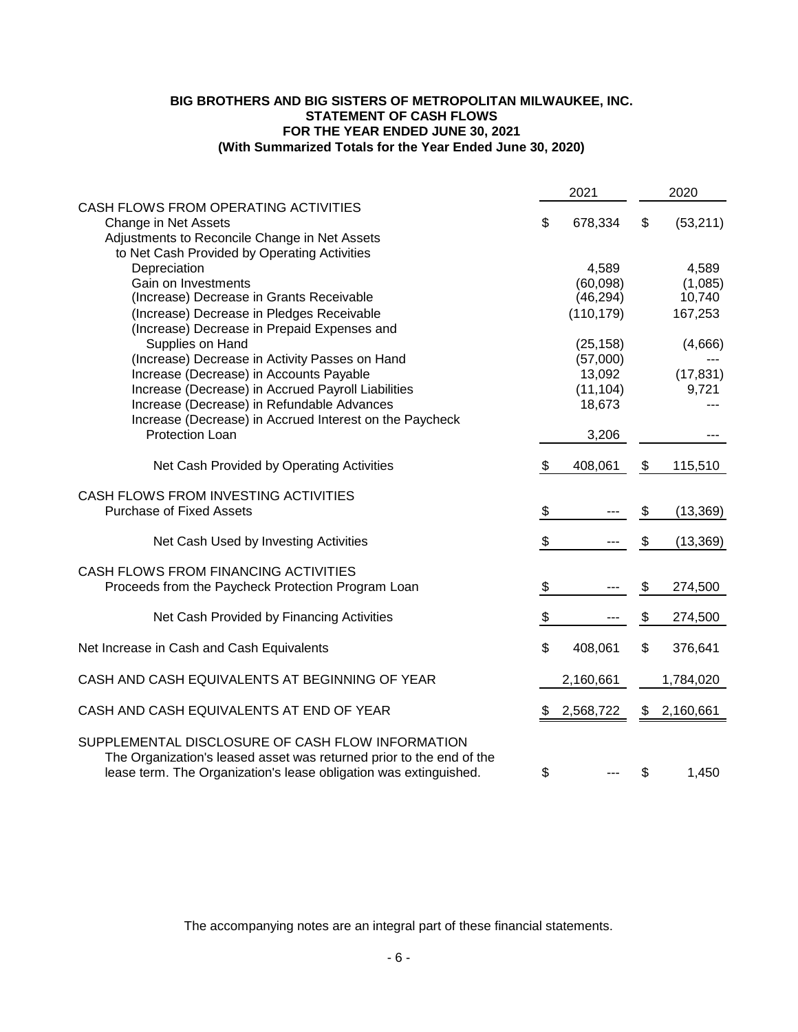# **BIG BROTHERS AND BIG SISTERS OF METROPOLITAN MILWAUKEE, INC. STATEMENT OF CASH FLOWS FOR THE YEAR ENDED JUNE 30, 2021 (With Summarized Totals for the Year Ended June 30, 2020)**

|                                                                                                                                                                                                                                                                                                                                                                                                                                                                                                                                |                       | 2021                                                                                                            |          | 2020                                                                   |
|--------------------------------------------------------------------------------------------------------------------------------------------------------------------------------------------------------------------------------------------------------------------------------------------------------------------------------------------------------------------------------------------------------------------------------------------------------------------------------------------------------------------------------|-----------------------|-----------------------------------------------------------------------------------------------------------------|----------|------------------------------------------------------------------------|
| CASH FLOWS FROM OPERATING ACTIVITIES<br>Change in Net Assets<br>Adjustments to Reconcile Change in Net Assets                                                                                                                                                                                                                                                                                                                                                                                                                  | \$                    | 678,334                                                                                                         | \$       | (53,211)                                                               |
| to Net Cash Provided by Operating Activities<br>Depreciation<br>Gain on Investments<br>(Increase) Decrease in Grants Receivable<br>(Increase) Decrease in Pledges Receivable<br>(Increase) Decrease in Prepaid Expenses and<br>Supplies on Hand<br>(Increase) Decrease in Activity Passes on Hand<br>Increase (Decrease) in Accounts Payable<br>Increase (Decrease) in Accrued Payroll Liabilities<br>Increase (Decrease) in Refundable Advances<br>Increase (Decrease) in Accrued Interest on the Paycheck<br>Protection Loan |                       | 4,589<br>(60,098)<br>(46, 294)<br>(110, 179)<br>(25, 158)<br>(57,000)<br>13,092<br>(11, 104)<br>18,673<br>3,206 |          | 4,589<br>(1,085)<br>10,740<br>167,253<br>(4,666)<br>(17, 831)<br>9,721 |
| Net Cash Provided by Operating Activities                                                                                                                                                                                                                                                                                                                                                                                                                                                                                      | \$                    | 408,061                                                                                                         | \$       | 115,510                                                                |
| CASH FLOWS FROM INVESTING ACTIVITIES<br><b>Purchase of Fixed Assets</b>                                                                                                                                                                                                                                                                                                                                                                                                                                                        | $\boldsymbol{\theta}$ |                                                                                                                 | \$       | (13, 369)                                                              |
| Net Cash Used by Investing Activities                                                                                                                                                                                                                                                                                                                                                                                                                                                                                          | \$                    |                                                                                                                 | \$       | (13, 369)                                                              |
| CASH FLOWS FROM FINANCING ACTIVITIES<br>Proceeds from the Paycheck Protection Program Loan<br>Net Cash Provided by Financing Activities                                                                                                                                                                                                                                                                                                                                                                                        | $\frac{1}{2}$<br>\$   |                                                                                                                 | \$<br>\$ | 274,500<br>274,500                                                     |
| Net Increase in Cash and Cash Equivalents                                                                                                                                                                                                                                                                                                                                                                                                                                                                                      | \$                    | 408,061                                                                                                         | \$       | 376,641                                                                |
| CASH AND CASH EQUIVALENTS AT BEGINNING OF YEAR                                                                                                                                                                                                                                                                                                                                                                                                                                                                                 |                       | 2,160,661                                                                                                       |          | 1,784,020                                                              |
| CASH AND CASH EQUIVALENTS AT END OF YEAR                                                                                                                                                                                                                                                                                                                                                                                                                                                                                       |                       | 2,568,722                                                                                                       | \$       | 2,160,661                                                              |
| SUPPLEMENTAL DISCLOSURE OF CASH FLOW INFORMATION<br>The Organization's leased asset was returned prior to the end of the<br>lease term. The Organization's lease obligation was extinguished.                                                                                                                                                                                                                                                                                                                                  | \$                    |                                                                                                                 | \$       | 1,450                                                                  |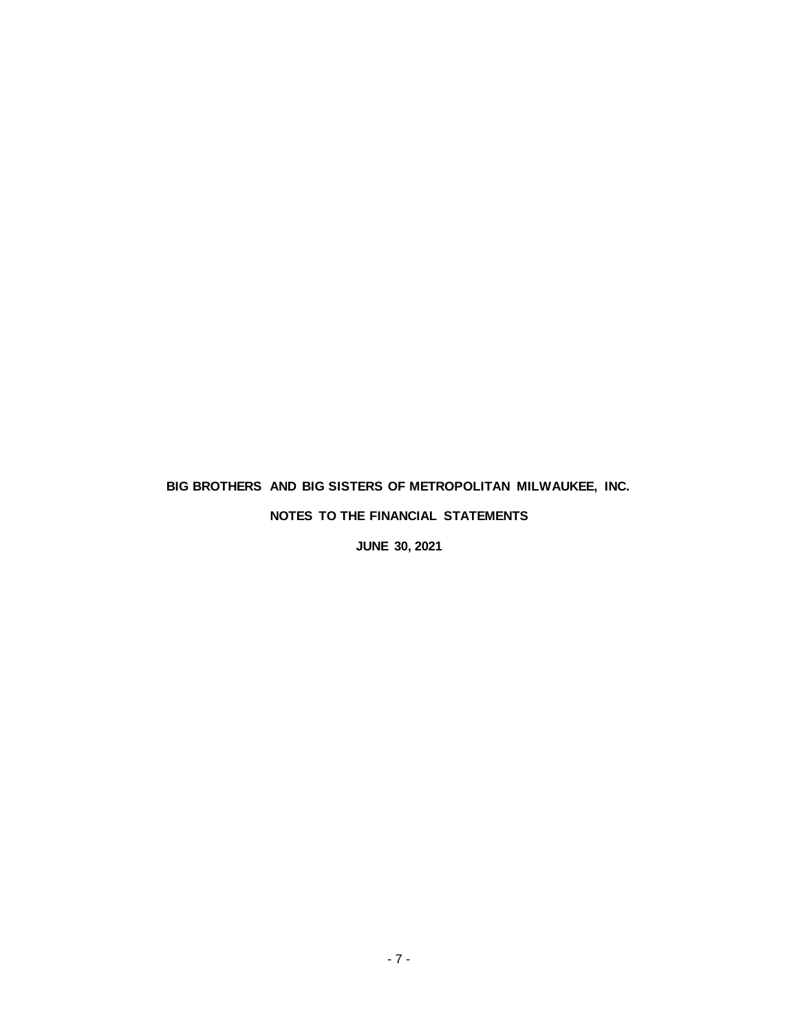# **BIG BROTHERS AND BIG SISTERS OF METROPOLITAN MILWAUKEE, INC.**

# **NOTES TO THE FINANCIAL STATEMENTS**

**JUNE 30, 2021**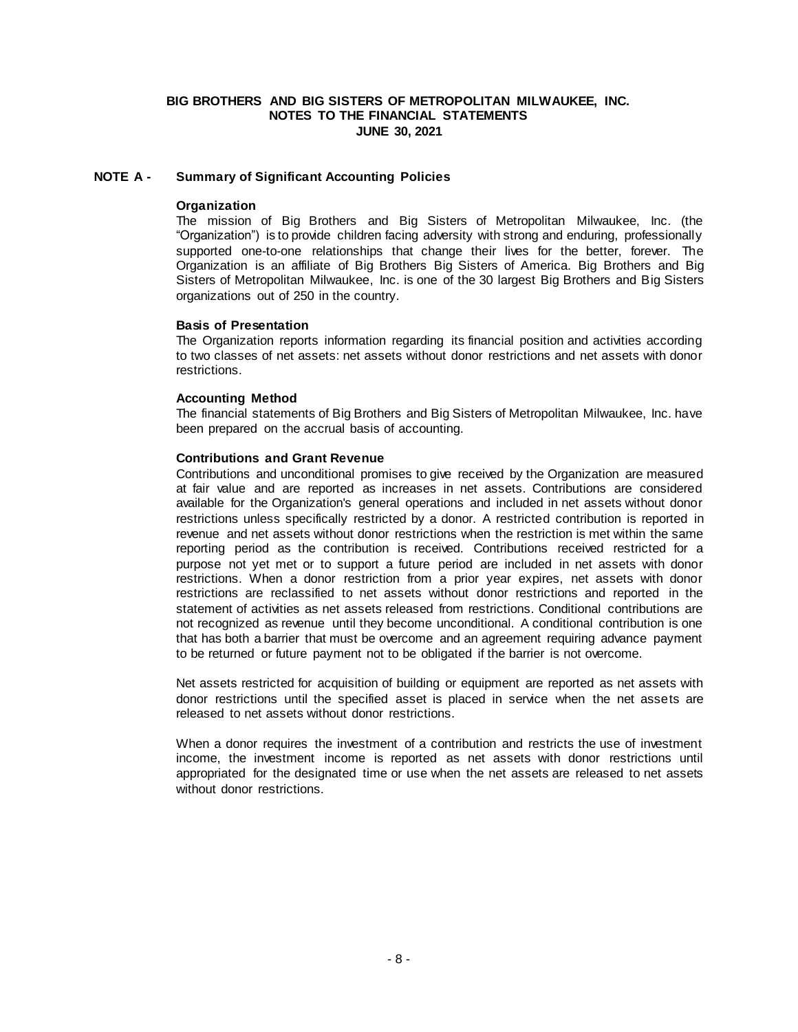## **NOTE A - Summary of Significant Accounting Policies**

#### **Organization**

The mission of Big Brothers and Big Sisters of Metropolitan Milwaukee, Inc. (the "Organization") is to provide children facing adversity with strong and enduring, professionally supported one-to-one relationships that change their lives for the better, forever. The Organization is an affiliate of Big Brothers Big Sisters of America. Big Brothers and Big Sisters of Metropolitan Milwaukee, Inc. is one of the 30 largest Big Brothers and Big Sisters organizations out of 250 in the country.

#### **Basis of Presentation**

The Organization reports information regarding its financial position and activities according to two classes of net assets: net assets without donor restrictions and net assets with donor restrictions.

## **Accounting Method**

The financial statements of Big Brothers and Big Sisters of Metropolitan Milwaukee, Inc. have been prepared on the accrual basis of accounting.

#### **Contributions and Grant Revenue**

Contributions and unconditional promises to give received by the Organization are measured at fair value and are reported as increases in net assets. Contributions are considered available for the Organization's general operations and included in net assets without donor restrictions unless specifically restricted by a donor. A restricted contribution is reported in revenue and net assets without donor restrictions when the restriction is met within the same reporting period as the contribution is received. Contributions received restricted for a purpose not yet met or to support a future period are included in net assets with donor restrictions. When a donor restriction from a prior year expires, net assets with donor restrictions are reclassified to net assets without donor restrictions and reported in the statement of activities as net assets released from restrictions. Conditional contributions are not recognized as revenue until they become unconditional. A conditional contribution is one that has both a barrier that must be overcome and an agreement requiring advance payment to be returned or future payment not to be obligated if the barrier is not overcome.

Net assets restricted for acquisition of building or equipment are reported as net assets with donor restrictions until the specified asset is placed in service when the net assets are released to net assets without donor restrictions.

When a donor requires the investment of a contribution and restricts the use of investment income, the investment income is reported as net assets with donor restrictions until appropriated for the designated time or use when the net assets are released to net assets without donor restrictions.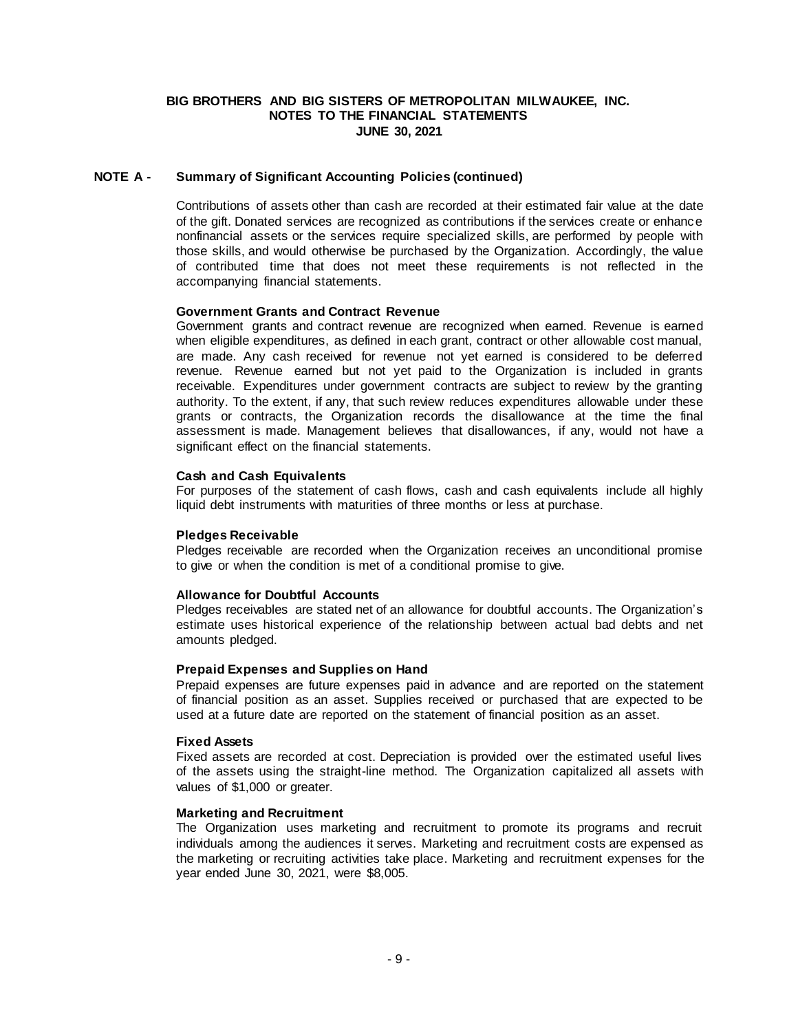## **NOTE A - Summary of Significant Accounting Policies (continued)**

Contributions of assets other than cash are recorded at their estimated fair value at the date of the gift. Donated services are recognized as contributions if the services create or enhance nonfinancial assets or the services require specialized skills, are performed by people with those skills, and would otherwise be purchased by the Organization. Accordingly, the value of contributed time that does not meet these requirements is not reflected in the accompanying financial statements.

#### **Government Grants and Contract Revenue**

Government grants and contract revenue are recognized when earned. Revenue is earned when eligible expenditures, as defined in each grant, contract or other allowable cost manual, are made. Any cash received for revenue not yet earned is considered to be deferred revenue. Revenue earned but not yet paid to the Organization is included in grants receivable. Expenditures under government contracts are subject to review by the granting authority. To the extent, if any, that such review reduces expenditures allowable under these grants or contracts, the Organization records the disallowance at the time the final assessment is made. Management believes that disallowances, if any, would not have a significant effect on the financial statements.

#### **Cash and Cash Equivalents**

For purposes of the statement of cash flows, cash and cash equivalents include all highly liquid debt instruments with maturities of three months or less at purchase.

#### **Pledges Receivable**

Pledges receivable are recorded when the Organization receives an unconditional promise to give or when the condition is met of a conditional promise to give.

#### **Allowance for Doubtful Accounts**

Pledges receivables are stated net of an allowance for doubtful accounts. The Organization's estimate uses historical experience of the relationship between actual bad debts and net amounts pledged.

#### **Prepaid Expenses and Supplies on Hand**

Prepaid expenses are future expenses paid in advance and are reported on the statement of financial position as an asset. Supplies received or purchased that are expected to be used at a future date are reported on the statement of financial position as an asset.

#### **Fixed Assets**

Fixed assets are recorded at cost. Depreciation is provided over the estimated useful lives of the assets using the straight-line method. The Organization capitalized all assets with values of \$1,000 or greater.

#### **Marketing and Recruitment**

The Organization uses marketing and recruitment to promote its programs and recruit individuals among the audiences it serves. Marketing and recruitment costs are expensed as the marketing or recruiting activities take place. Marketing and recruitment expenses for the year ended June 30, 2021, were \$8,005.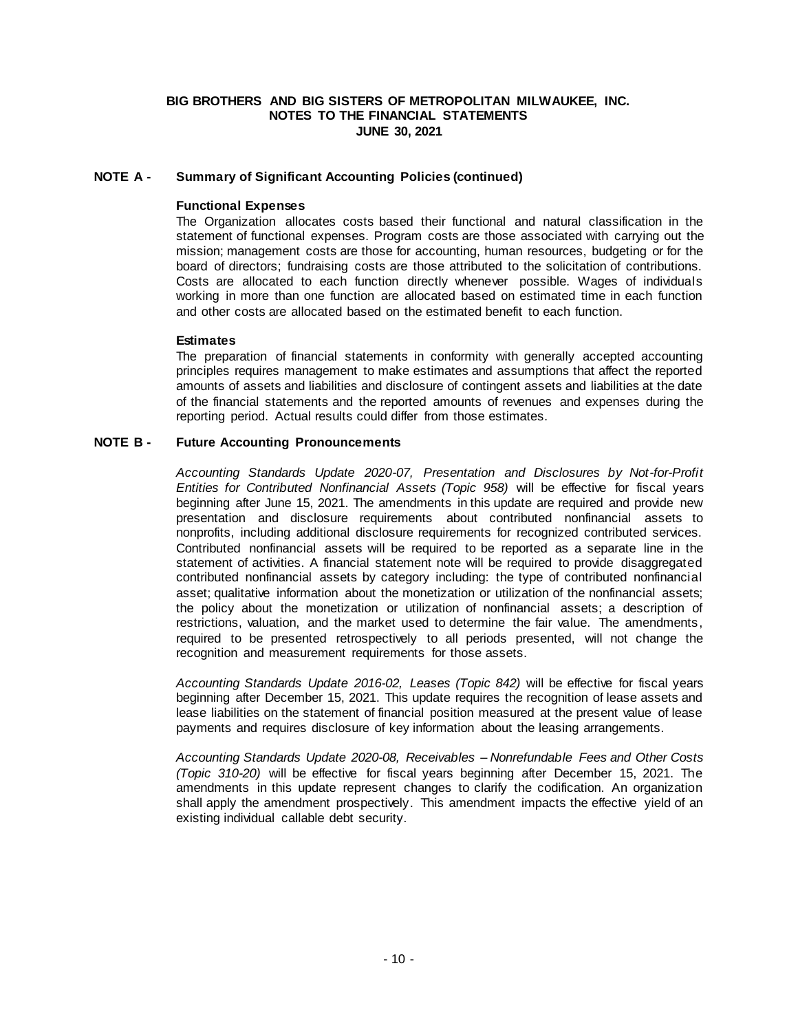# **NOTE A - Summary of Significant Accounting Policies (continued)**

## **Functional Expenses**

The Organization allocates costs based their functional and natural classification in the statement of functional expenses. Program costs are those associated with carrying out the mission; management costs are those for accounting, human resources, budgeting or for the board of directors; fundraising costs are those attributed to the solicitation of contributions. Costs are allocated to each function directly whenever possible. Wages of individuals working in more than one function are allocated based on estimated time in each function and other costs are allocated based on the estimated benefit to each function.

#### **Estimates**

The preparation of financial statements in conformity with generally accepted accounting principles requires management to make estimates and assumptions that affect the reported amounts of assets and liabilities and disclosure of contingent assets and liabilities at the date of the financial statements and the reported amounts of revenues and expenses during the reporting period. Actual results could differ from those estimates.

#### **NOTE B - Future Accounting Pronouncements**

*Accounting Standards Update 2020-07, Presentation and Disclosures by Not-for-Profit Entities for Contributed Nonfinancial Assets (Topic 958)* will be effective for fiscal years beginning after June 15, 2021. The amendments in this update are required and provide new presentation and disclosure requirements about contributed nonfinancial assets to nonprofits, including additional disclosure requirements for recognized contributed services. Contributed nonfinancial assets will be required to be reported as a separate line in the statement of activities. A financial statement note will be required to provide disaggregated contributed nonfinancial assets by category including: the type of contributed nonfinancial asset; qualitative information about the monetization or utilization of the nonfinancial assets; the policy about the monetization or utilization of nonfinancial assets; a description of restrictions, valuation, and the market used to determine the fair value. The amendments, required to be presented retrospectively to all periods presented, will not change the recognition and measurement requirements for those assets.

*Accounting Standards Update 2016-02, Leases (Topic 842)* will be effective for fiscal years beginning after December 15, 2021. This update requires the recognition of lease assets and lease liabilities on the statement of financial position measured at the present value of lease payments and requires disclosure of key information about the leasing arrangements.

*Accounting Standards Update 2020-08, Receivables – Nonrefundable Fees and Other Costs (Topic 310-20)* will be effective for fiscal years beginning after December 15, 2021. The amendments in this update represent changes to clarify the codification. An organization shall apply the amendment prospectively. This amendment impacts the effective yield of an existing individual callable debt security.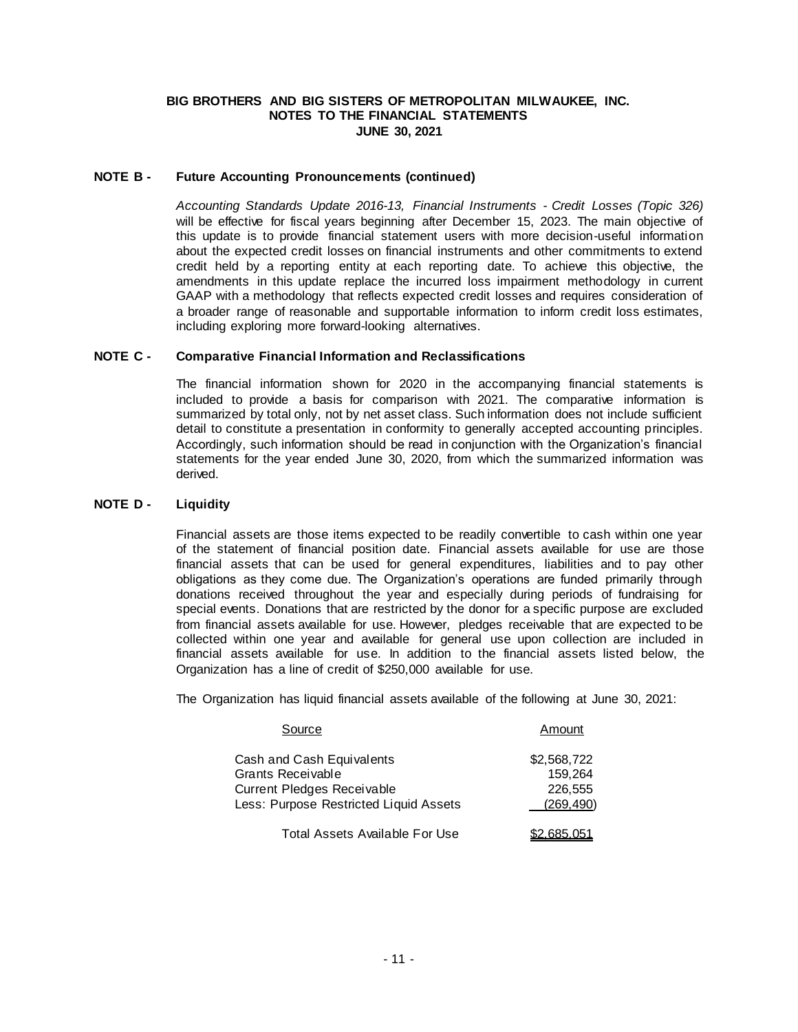## **NOTE B - Future Accounting Pronouncements (continued)**

*Accounting Standards Update 2016-13, Financial Instruments - Credit Losses (Topic 326)*  will be effective for fiscal years beginning after December 15, 2023. The main objective of this update is to provide financial statement users with more decision-useful information about the expected credit losses on financial instruments and other commitments to extend credit held by a reporting entity at each reporting date. To achieve this objective, the amendments in this update replace the incurred loss impairment methodology in current GAAP with a methodology that reflects expected credit losses and requires consideration of a broader range of reasonable and supportable information to inform credit loss estimates, including exploring more forward-looking alternatives.

## **NOTE C - Comparative Financial Information and Reclassifications**

The financial information shown for 2020 in the accompanying financial statements is included to provide a basis for comparison with 2021. The comparative information is summarized by total only, not by net asset class. Such information does not include sufficient detail to constitute a presentation in conformity to generally accepted accounting principles. Accordingly, such information should be read in conjunction with the Organization's financial statements for the year ended June 30, 2020, from which the summarized information was derived.

# **NOTE D - Liquidity**

Financial assets are those items expected to be readily convertible to cash within one year of the statement of financial position date. Financial assets available for use are those financial assets that can be used for general expenditures, liabilities and to pay other obligations as they come due. The Organization's operations are funded primarily through donations received throughout the year and especially during periods of fundraising for special events. Donations that are restricted by the donor for a specific purpose are excluded from financial assets available for use. However, pledges receivable that are expected to be collected within one year and available for general use upon collection are included in financial assets available for use. In addition to the financial assets listed below, the Organization has a line of credit of \$250,000 available for use.

The Organization has liquid financial assets available of the following at June 30, 2021:

| Source                                                               | Amount                |
|----------------------------------------------------------------------|-----------------------|
| Cash and Cash Equivalents                                            | \$2,568,722           |
| Grants Receivable                                                    | 159.264               |
| Current Pledges Receivable<br>Less: Purpose Restricted Liquid Assets | 226,555<br>(269, 490) |
|                                                                      |                       |
| Total Assets Available For Use                                       | \$2.685.051           |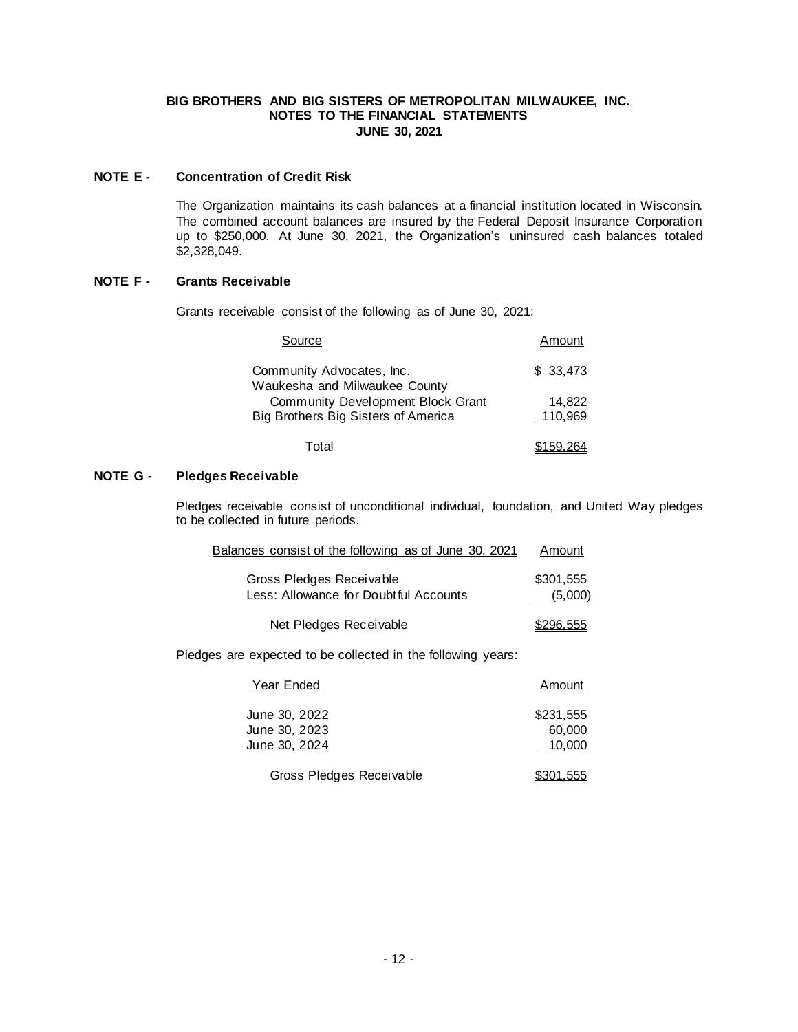## **NOTE E - Concentration of Credit Risk**

The Organization maintains its cash balances at a financial institution located in Wisconsin. The combined account balances are insured by the Federal Deposit Insurance Corporation up to \$250,000. At June 30, 2021, the Organization's uninsured cash balances totaled \$2,328,049.

# **NOTE F - Grants Receivable**

Grants receivable consist of the following as of June 30, 2021:

| Source                                                     | Amount   |
|------------------------------------------------------------|----------|
| Community Advocates, Inc.<br>Waukesha and Milwaukee County | \$33.473 |
| Community Development Block Grant                          | 14,822   |
| Big Brothers Big Sisters of America                        | 110,969  |
| T∩tal                                                      |          |

# **NOTE G - Pledges Receivable**

Pledges receivable consist of unconditional individual, foundation, and United Way pledges to be collected in future periods.

| Balances consist of the following as of June 30, 2021             | Amount               |
|-------------------------------------------------------------------|----------------------|
| Gross Pledges Receivable<br>Less: Allowance for Doubtful Accounts | \$301.555<br>(5,000) |
| Net Pledges Receivable                                            | \$296.555            |

Pledges are expected to be collected in the following years:

| Year Ended                                      | Amount                        |
|-------------------------------------------------|-------------------------------|
| June 30, 2022<br>June 30, 2023<br>June 30, 2024 | \$231.555<br>60,000<br>10.000 |
| Gross Pledges Receivable                        | <u>\$301.555</u>              |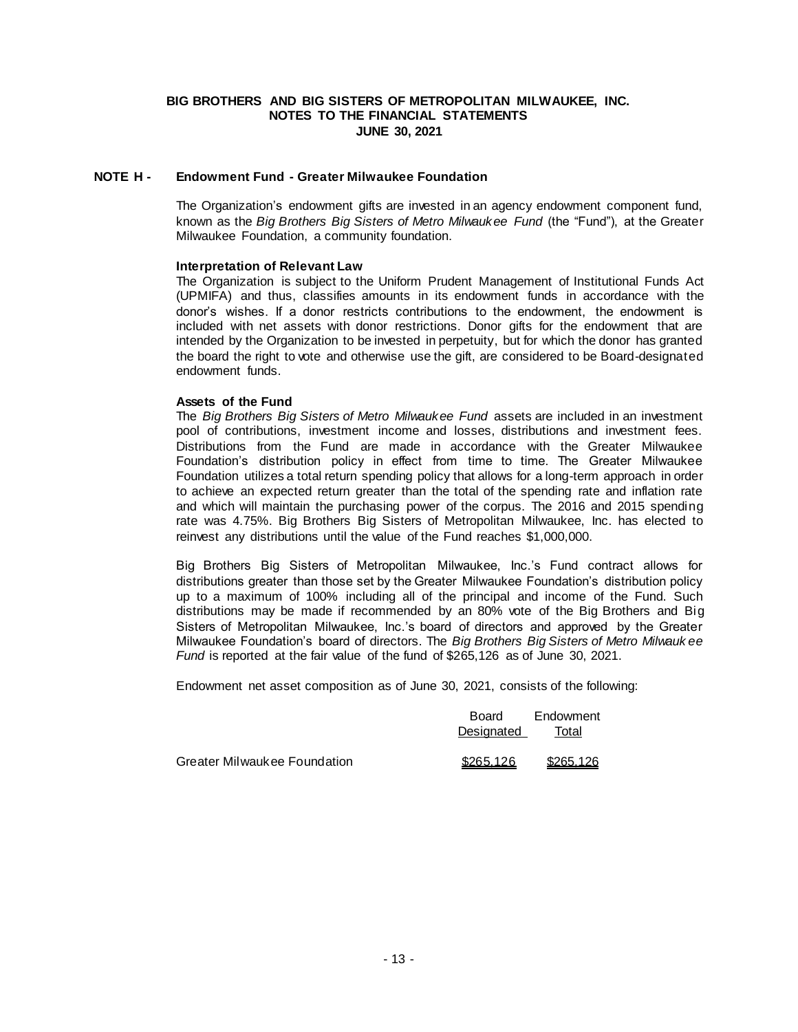## **NOTE H - Endowment Fund - Greater Milwaukee Foundation**

The Organization's endowment gifts are invested in an agency endowment component fund, known as the *Big Brothers Big Sisters of Metro Milwaukee Fund* (the "Fund"), at the Greater Milwaukee Foundation, a community foundation.

#### **Interpretation of Relevant Law**

The Organization is subject to the Uniform Prudent Management of Institutional Funds Act (UPMIFA) and thus, classifies amounts in its endowment funds in accordance with the donor's wishes. If a donor restricts contributions to the endowment, the endowment is included with net assets with donor restrictions. Donor gifts for the endowment that are intended by the Organization to be invested in perpetuity, but for which the donor has granted the board the right to vote and otherwise use the gift, are considered to be Board-designated endowment funds.

## **Assets of the Fund**

The *Big Brothers Big Sisters of Metro Milwaukee Fund* assets are included in an investment pool of contributions, investment income and losses, distributions and investment fees. Distributions from the Fund are made in accordance with the Greater Milwaukee Foundation's distribution policy in effect from time to time. The Greater Milwaukee Foundation utilizes a total return spending policy that allows for a long-term approach in order to achieve an expected return greater than the total of the spending rate and inflation rate and which will maintain the purchasing power of the corpus. The 2016 and 2015 spending rate was 4.75%. Big Brothers Big Sisters of Metropolitan Milwaukee, Inc. has elected to reinvest any distributions until the value of the Fund reaches \$1,000,000.

Big Brothers Big Sisters of Metropolitan Milwaukee, Inc.'s Fund contract allows for distributions greater than those set by the Greater Milwaukee Foundation's distribution policy up to a maximum of 100% including all of the principal and income of the Fund. Such distributions may be made if recommended by an 80% vote of the Big Brothers and Big Sisters of Metropolitan Milwaukee, Inc.'s board of directors and approved by the Greater Milwaukee Foundation's board of directors. The *Big Brothers Big Sisters of Metro Milwauk ee Fund* is reported at the fair value of the fund of \$265,126 as of June 30, 2021.

Endowment net asset composition as of June 30, 2021, consists of the following:

|                              | Board<br>Designated | Endowment<br>Total |  |
|------------------------------|---------------------|--------------------|--|
| Greater Milwaukee Foundation | \$265.126           | \$265.126          |  |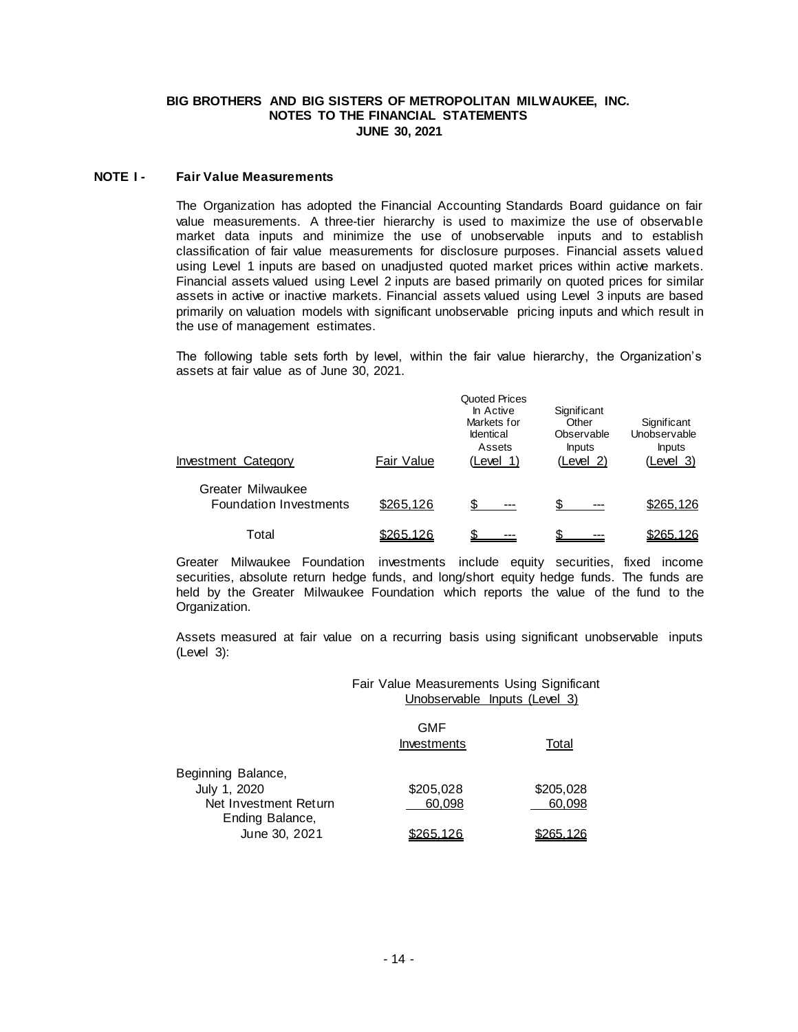#### **NOTE I - Fair Value Measurements**

The Organization has adopted the Financial Accounting Standards Board guidance on fair value measurements. A three-tier hierarchy is used to maximize the use of observable market data inputs and minimize the use of unobservable inputs and to establish classification of fair value measurements for disclosure purposes. Financial assets valued using Level 1 inputs are based on unadjusted quoted market prices within active markets. Financial assets valued using Level 2 inputs are based primarily on quoted prices for similar assets in active or inactive markets. Financial assets valued using Level 3 inputs are based primarily on valuation models with significant unobservable pricing inputs and which result in the use of management estimates.

The following table sets forth by level, within the fair value hierarchy, the Organization's assets at fair value as of June 30, 2021.

| Investment Category                                | Fair Value       | Quoted Prices<br>In Active<br>Markets for<br><b>Identical</b><br>Assets<br>(Level 1) | Significant<br>Other<br>Observable<br><b>Inputs</b><br>(Level 2) | Significant<br>Unobservable<br><b>Inputs</b><br>(Level 3) |
|----------------------------------------------------|------------------|--------------------------------------------------------------------------------------|------------------------------------------------------------------|-----------------------------------------------------------|
| Greater Milwaukee<br><b>Foundation Investments</b> | \$265,126        | \$.<br>---                                                                           | $---$                                                            | \$265,126                                                 |
| Total                                              | <u>\$265.126</u> |                                                                                      |                                                                  | \$265.126                                                 |

Greater Milwaukee Foundation investments include equity securities, fixed income securities, absolute return hedge funds, and long/short equity hedge funds. The funds are held by the Greater Milwaukee Foundation which reports the value of the fund to the Organization.

Assets measured at fair value on a recurring basis using significant unobservable inputs (Level 3):

> Fair Value Measurements Using Significant Unobservable Inputs (Level 3)

|                       | GMF<br>Investments | Total     |
|-----------------------|--------------------|-----------|
| Beginning Balance,    |                    |           |
| July 1, 2020          | \$205,028          | \$205,028 |
| Net Investment Return | 60.098             | 60.098    |
| Ending Balance,       |                    |           |
| June 30, 2021         | \$265.126          | \$265.126 |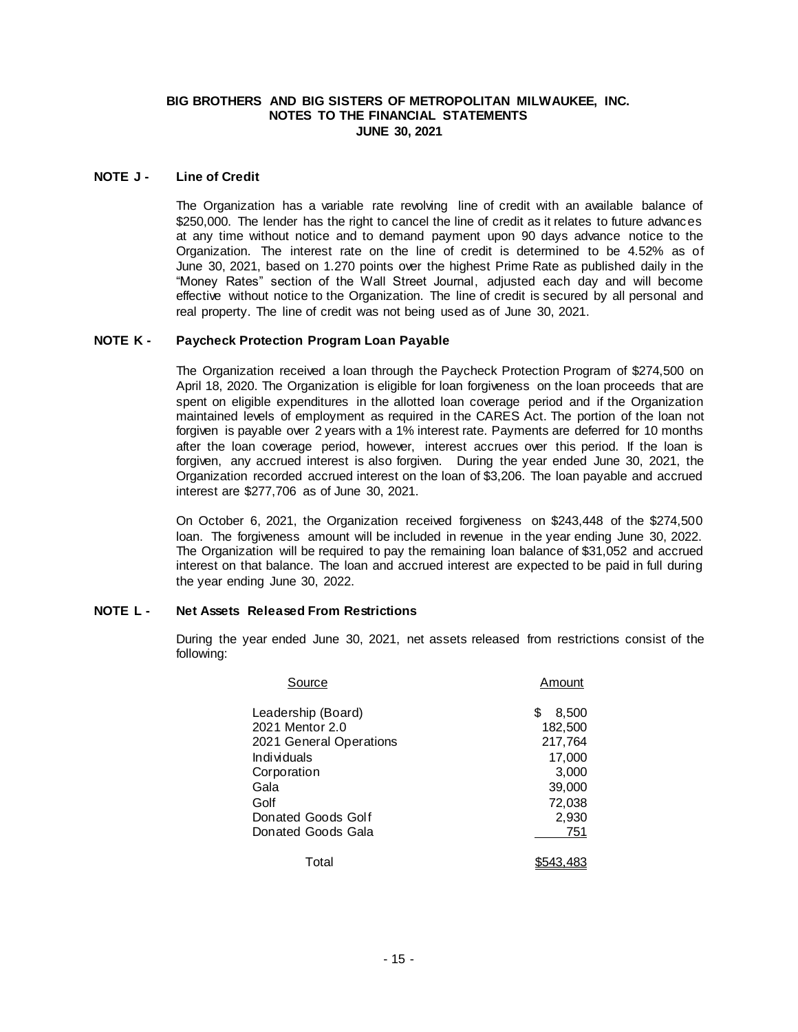## **NOTE J - Line of Credit**

The Organization has a variable rate revolving line of credit with an available balance of \$250,000. The lender has the right to cancel the line of credit as it relates to future advances at any time without notice and to demand payment upon 90 days advance notice to the Organization. The interest rate on the line of credit is determined to be 4.52% as of June 30, 2021, based on 1.270 points over the highest Prime Rate as published daily in the "Money Rates" section of the Wall Street Journal, adjusted each day and will become effective without notice to the Organization. The line of credit is secured by all personal and real property. The line of credit was not being used as of June 30, 2021.

## **NOTE K - Paycheck Protection Program Loan Payable**

The Organization received a loan through the Paycheck Protection Program of \$274,500 on April 18, 2020. The Organization is eligible for loan forgiveness on the loan proceeds that are spent on eligible expenditures in the allotted loan coverage period and if the Organization maintained levels of employment as required in the CARES Act. The portion of the loan not forgiven is payable over 2 years with a 1% interest rate. Payments are deferred for 10 months after the loan coverage period, however, interest accrues over this period. If the loan is forgiven, any accrued interest is also forgiven. During the year ended June 30, 2021, the Organization recorded accrued interest on the loan of \$3,206. The loan payable and accrued interest are \$277,706 as of June 30, 2021.

On October 6, 2021, the Organization received forgiveness on \$243,448 of the \$274,500 loan. The forgiveness amount will be included in revenue in the year ending June 30, 2022. The Organization will be required to pay the remaining loan balance of \$31,052 and accrued interest on that balance. The loan and accrued interest are expected to be paid in full during the year ending June 30, 2022.

# **NOTE L - Net Assets Released From Restrictions**

During the year ended June 30, 2021, net assets released from restrictions consist of the following:

| Source                  | Amount     |
|-------------------------|------------|
| Leadership (Board)      | S<br>8,500 |
| 2021 Mentor 2.0         | 182,500    |
| 2021 General Operations | 217,764    |
| Individuals             | 17,000     |
| Corporation             | 3,000      |
| Gala                    | 39,000     |
| Golf                    | 72,038     |
| Donated Goods Golf      | 2,930      |
| Donated Goods Gala      | 751        |
| Total                   |            |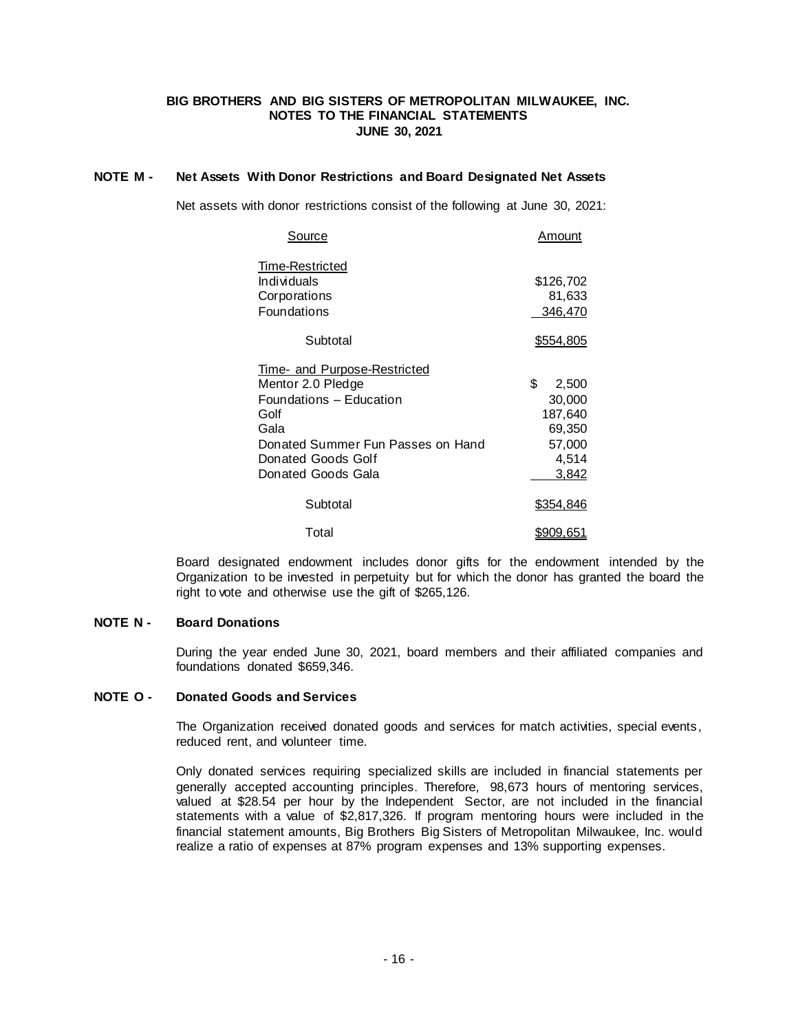## **NOTE M - Net Assets With Donor Restrictions and Board Designated Net Assets**

Net assets with donor restrictions consist of the following at June 30, 2021:

| Source                                                                                                                                                                               | Amount                                                                 |
|--------------------------------------------------------------------------------------------------------------------------------------------------------------------------------------|------------------------------------------------------------------------|
| Time-Restricted<br>Individuals<br>Corporations<br>Foundations                                                                                                                        | \$126,702<br>81,633<br>346,470                                         |
| Subtotal                                                                                                                                                                             | <u>\$554,805</u>                                                       |
| <u>Time- and Purpose-Restricted</u><br>Mentor 2.0 Pledge<br>Foundations – Education<br>Golf<br>Gala<br>Donated Summer Fun Passes on Hand<br>Donated Goods Golf<br>Donated Goods Gala | \$<br>2,500<br>30,000<br>187,640<br>69,350<br>57,000<br>4,514<br>3,842 |
| Subtotal                                                                                                                                                                             | \$354,846                                                              |
| Total                                                                                                                                                                                | <u>\$909.651</u>                                                       |

Board designated endowment includes donor gifts for the endowment intended by the Organization to be invested in perpetuity but for which the donor has granted the board the right to vote and otherwise use the gift of \$265,126.

# **NOTE N - Board Donations**

During the year ended June 30, 2021, board members and their affiliated companies and foundations donated \$659,346.

## **NOTE O - Donated Goods and Services**

The Organization received donated goods and services for match activities, special events, reduced rent, and volunteer time.

Only donated services requiring specialized skills are included in financial statements per generally accepted accounting principles. Therefore, 98,673 hours of mentoring services, valued at \$28.54 per hour by the Independent Sector, are not included in the financial statements with a value of \$2,817,326. If program mentoring hours were included in the financial statement amounts, Big Brothers Big Sisters of Metropolitan Milwaukee, Inc. would realize a ratio of expenses at 87% program expenses and 13% supporting expenses.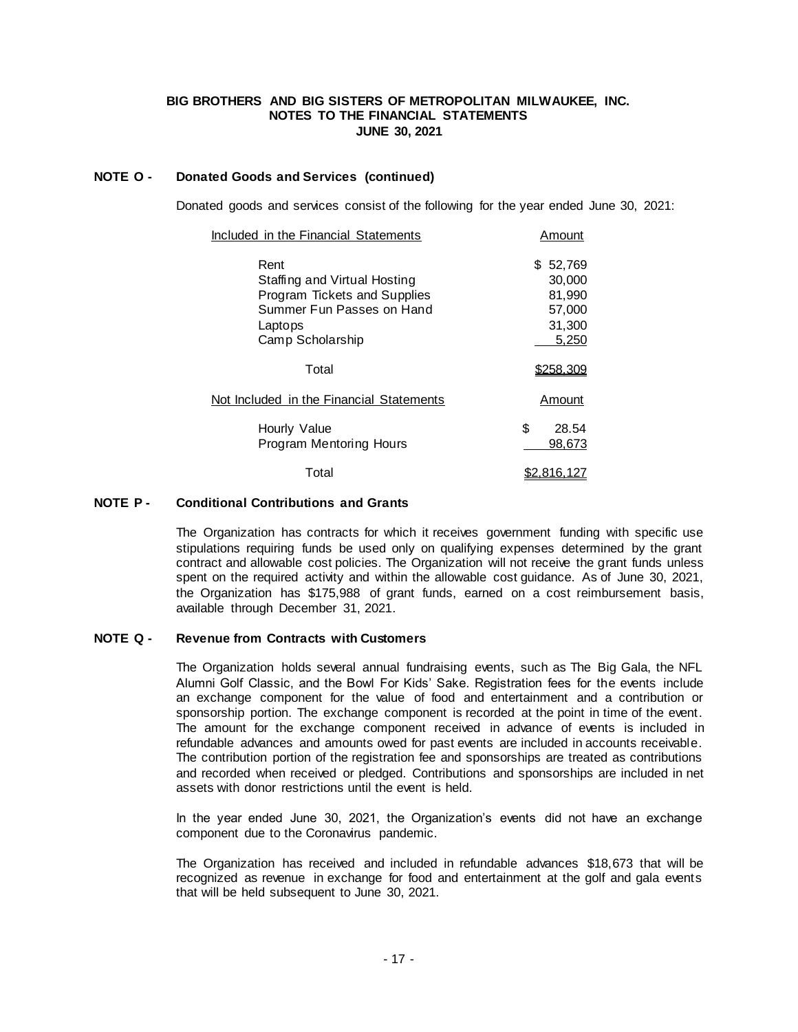# **NOTE O - Donated Goods and Services (continued)**

Donated goods and services consist of the following for the year ended June 30, 2021:

| Included in the Financial Statements                                                                                             | Amount                                                        |
|----------------------------------------------------------------------------------------------------------------------------------|---------------------------------------------------------------|
| Rent<br>Staffing and Virtual Hosting<br>Program Tickets and Supplies<br>Summer Fun Passes on Hand<br>Laptops<br>Camp Scholarship | 52,769<br>S.<br>30,000<br>81,990<br>57,000<br>31,300<br>5,250 |
| Total                                                                                                                            | <u>\$258.309</u>                                              |
| Not Included in the Financial Statements                                                                                         | Amount                                                        |
| Hourly Value<br>Program Mentoring Hours                                                                                          | \$<br>28.54<br>98,673                                         |
| Total                                                                                                                            | \$2.816.127                                                   |

#### **NOTE P - Conditional Contributions and Grants**

The Organization has contracts for which it receives government funding with specific use stipulations requiring funds be used only on qualifying expenses determined by the grant contract and allowable cost policies. The Organization will not receive the grant funds unless spent on the required activity and within the allowable cost guidance. As of June 30, 2021, the Organization has \$175,988 of grant funds, earned on a cost reimbursement basis, available through December 31, 2021.

# **NOTE Q - Revenue from Contracts with Customers**

The Organization holds several annual fundraising events, such as The Big Gala, the NFL Alumni Golf Classic, and the Bowl For Kids' Sake. Registration fees for the events include an exchange component for the value of food and entertainment and a contribution or sponsorship portion. The exchange component is recorded at the point in time of the event. The amount for the exchange component received in advance of events is included in refundable advances and amounts owed for past events are included in accounts receivable. The contribution portion of the registration fee and sponsorships are treated as contributions and recorded when received or pledged. Contributions and sponsorships are included in net assets with donor restrictions until the event is held.

In the year ended June 30, 2021, the Organization's events did not have an exchange component due to the Coronavirus pandemic.

The Organization has received and included in refundable advances \$18,673 that will be recognized as revenue in exchange for food and entertainment at the golf and gala events that will be held subsequent to June 30, 2021.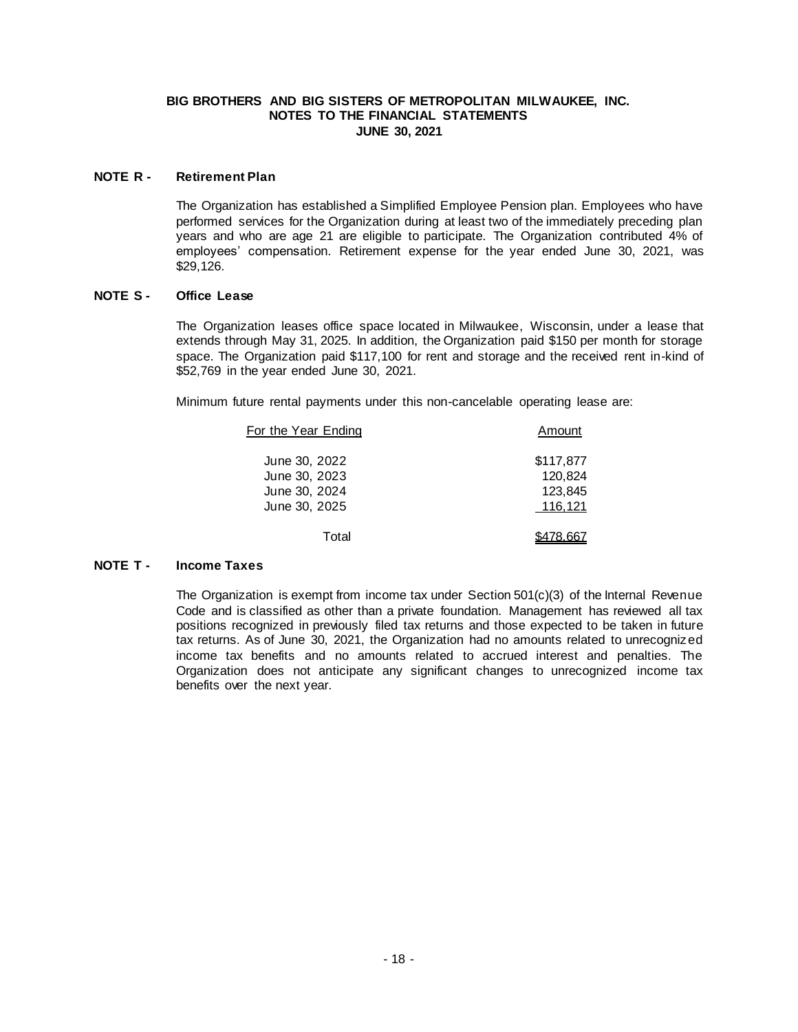## **NOTE R - Retirement Plan**

The Organization has established a Simplified Employee Pension plan. Employees who have performed services for the Organization during at least two of the immediately preceding plan years and who are age 21 are eligible to participate. The Organization contributed 4% of employees' compensation. Retirement expense for the year ended June 30, 2021, was \$29,126.

## **NOTE S - Office Lease**

The Organization leases office space located in Milwaukee, Wisconsin, under a lease that extends through May 31, 2025. In addition, the Organization paid \$150 per month for storage space. The Organization paid \$117,100 for rent and storage and the received rent in-kind of \$52,769 in the year ended June 30, 2021.

Minimum future rental payments under this non-cancelable operating lease are:

| For the Year Ending | Amount    |
|---------------------|-----------|
| June 30, 2022       | \$117,877 |
| June 30, 2023       | 120.824   |
| June 30, 2024       | 123.845   |
| June 30, 2025       | 116,121   |
| T∩tal               |           |

# **NOTE T - Income Taxes**

The Organization is exempt from income tax under Section 501(c)(3) of the Internal Revenue Code and is classified as other than a private foundation. Management has reviewed all tax positions recognized in previously filed tax returns and those expected to be taken in future tax returns. As of June 30, 2021, the Organization had no amounts related to unrecognized income tax benefits and no amounts related to accrued interest and penalties. The Organization does not anticipate any significant changes to unrecognized income tax benefits over the next year.